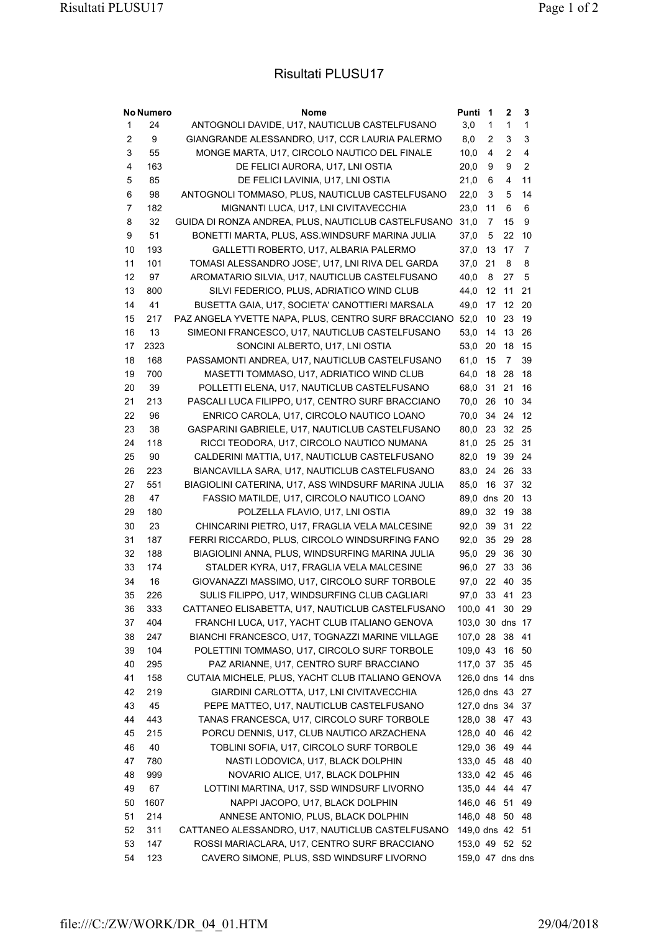## Risultati PLUSU17

| <b>No Numero</b> |      | Nome                                                | Punti            | 1      | 2              | 3                       |
|------------------|------|-----------------------------------------------------|------------------|--------|----------------|-------------------------|
| 1                | 24   | ANTOGNOLI DAVIDE, U17, NAUTICLUB CASTELFUSANO       | 3,0              | 1      | 1              | $\mathbf{1}$            |
| $\overline{2}$   | 9    | GIANGRANDE ALESSANDRO, U17, CCR LAURIA PALERMO      | 8,0              | 2      | 3              | 3                       |
| 3                | 55   | MONGE MARTA, U17, CIRCOLO NAUTICO DEL FINALE        | 10,0             | 4      | 2              | $\overline{\mathbf{4}}$ |
| 4                | 163  | DE FELICI AURORA, U17, LNI OSTIA                    | 20,0             | 9      | 9              | $\overline{c}$          |
| 5                | 85   | DE FELICI LAVINIA, U17, LNI OSTIA                   | 21,0             | 6      | 4              | 11                      |
| 6                | 98   | ANTOGNOLI TOMMASO, PLUS, NAUTICLUB CASTELFUSANO     | 22,0             | 3      | 5              | 14                      |
| 7                | 182  | MIGNANTI LUCA, U17, LNI CIVITAVECCHIA               | 23,0             | 11     | 6              | 6                       |
| 8                | 32   | GUIDA DI RONZA ANDREA, PLUS, NAUTICLUB CASTELFUSANO | 31,0             | 7      | 15             | 9                       |
| 9                | 51   | BONETTI MARTA, PLUS, ASS. WINDSURF MARINA JULIA     | 37,0             | 5      | 22             | 10                      |
| 10               | 193  | GALLETTI ROBERTO, U17, ALBARIA PALERMO              | 37,0             | 13     | 17             | $\overline{7}$          |
| 11               | 101  | TOMASI ALESSANDRO JOSE', U17, LNI RIVA DEL GARDA    | 37,0             | 21     | 8              | 8                       |
| 12               | 97   | AROMATARIO SILVIA, U17, NAUTICLUB CASTELFUSANO      | 40,0             | 8      | 27             | 5                       |
| 13               | 800  | SILVI FEDERICO, PLUS, ADRIATICO WIND CLUB           | 44,0             | 12     | 11             | 21                      |
| 14               | 41   | BUSETTA GAIA, U17, SOCIETA' CANOTTIERI MARSALA      | 49,0             | 17     | 12             | 20                      |
| 15               | 217  | PAZ ANGELA YVETTE NAPA, PLUS, CENTRO SURF BRACCIANO | 52,0             | 10     | 23             | 19                      |
| 16               | 13   | SIMEONI FRANCESCO, U17, NAUTICLUB CASTELFUSANO      | 53,0             | 14     | 13             | 26                      |
| 17               | 2323 | SONCINI ALBERTO, U17, LNI OSTIA                     | 53,0             | 20     | 18             | 15                      |
| 18               | 168  | PASSAMONTI ANDREA, U17, NAUTICLUB CASTELFUSANO      | 61,0             | 15     | $\overline{7}$ | 39                      |
| 19               | 700  | MASETTI TOMMASO, U17, ADRIATICO WIND CLUB           | 64,0             | 18     | 28             | 18                      |
| 20               | 39   | POLLETTI ELENA, U17, NAUTICLUB CASTELFUSANO         | 68,0             | 31     | 21             | 16                      |
| 21               | 213  | PASCALI LUCA FILIPPO, U17, CENTRO SURF BRACCIANO    | 70.0             | 26     | 10             | 34                      |
| 22               | 96   | ENRICO CAROLA, U17, CIRCOLO NAUTICO LOANO           | 70,0             | 34     | 24             | 12                      |
| 23               | 38   | GASPARINI GABRIELE, U17, NAUTICLUB CASTELFUSANO     | 80,0             | 23     | 32             | 25                      |
| 24               | 118  | RICCI TEODORA, U17, CIRCOLO NAUTICO NUMANA          | 81,0             | 25     | 25             | 31                      |
| 25               | 90   | CALDERINI MATTIA, U17, NAUTICLUB CASTELFUSANO       | 82,0             | 19     | 39             | 24                      |
| 26               | 223  | BIANCAVILLA SARA, U17, NAUTICLUB CASTELFUSANO       | 83,0             | 24     | 26             | 33                      |
| 27               | 551  | BIAGIOLINI CATERINA, U17, ASS WINDSURF MARINA JULIA | 85,0             | 16     | 37             | 32                      |
| 28               | 47   | FASSIO MATILDE, U17, CIRCOLO NAUTICO LOANO          | 89,0             | dns 20 |                | 13                      |
| 29               | 180  | POLZELLA FLAVIO, U17, LNI OSTIA                     | 89,0             | 32     | 19             | 38                      |
| 30               | 23   | CHINCARINI PIETRO, U17, FRAGLIA VELA MALCESINE      | 92,0             | 39     | 31             | 22                      |
| 31               | 187  | FERRI RICCARDO, PLUS, CIRCOLO WINDSURFING FANO      | 92.0             | 35     | 29             | 28                      |
| 32               | 188  | BIAGIOLINI ANNA, PLUS, WINDSURFING MARINA JULIA     | 95,0             | 29     | 36             | 30                      |
| 33               | 174  | STALDER KYRA, U17, FRAGLIA VELA MALCESINE           | 96,0             | 27     | 33             | 36                      |
| 34               | 16   | GIOVANAZZI MASSIMO, U17, CIRCOLO SURF TORBOLE       | 97,0             | 22     | 40             | 35                      |
| 35               | 226  | SULIS FILIPPO, U17, WINDSURFING CLUB CAGLIARI       | 97,0             | 33     | 41             | 23                      |
| 36               | 333  | CATTANEO ELISABETTA, U17, NAUTICLUB CASTELFUSANO    | 100,0 41 30 29   |        |                |                         |
| 37               | 404  | FRANCHI LUCA, U17, YACHT CLUB ITALIANO GENOVA       | 103,0 30 dns 17  |        |                |                         |
| 38               | 247  | BIANCHI FRANCESCO, U17, TOGNAZZI MARINE VILLAGE     | 107,0 28         |        | 38             | 41                      |
| 39               | 104  | POLETTINI TOMMASO, U17, CIRCOLO SURF TORBOLE        | 109,0 43         |        | 16             | 50                      |
| 40               | 295  | PAZ ARIANNE, U17, CENTRO SURF BRACCIANO             | 117,0 37         |        | 35             | 45                      |
| 41               | 158  | CUTAIA MICHELE, PLUS, YACHT CLUB ITALIANO GENOVA    | 126,0 dns 14 dns |        |                |                         |
| 42               | 219  | GIARDINI CARLOTTA, U17, LNI CIVITAVECCHIA           | 126,0 dns 43     |        |                | 27                      |
| 43               | 45   | PEPE MATTEO, U17, NAUTICLUB CASTELFUSANO            | 127,0 dns 34     |        |                | 37                      |
| 44               | 443  | TANAS FRANCESCA, U17, CIRCOLO SURF TORBOLE          | 128,0 38 47      |        |                | 43                      |
| 45               | 215  | PORCU DENNIS, U17, CLUB NAUTICO ARZACHENA           | 128,0 40         |        | 46             | 42                      |
| 46               | 40   |                                                     | 129,0 36         |        | 49             | 44                      |
| 47               | 780  | TOBLINI SOFIA, U17, CIRCOLO SURF TORBOLE            | 133,0 45 48      |        |                |                         |
|                  |      | NASTI LODOVICA, U17, BLACK DOLPHIN                  |                  |        |                | 40                      |
| 48               | 999  | NOVARIO ALICE, U17, BLACK DOLPHIN                   | 133,0 42 45      |        |                | 46                      |
| 49               | 67   | LOTTINI MARTINA, U17, SSD WINDSURF LIVORNO          | 135,0 44 44      |        |                | 47                      |
| 50               | 1607 | NAPPI JACOPO, U17, BLACK DOLPHIN                    | 146,0 46 51      |        |                | 49                      |
| 51               | 214  | ANNESE ANTONIO, PLUS, BLACK DOLPHIN                 | 146,0 48 50      |        |                | 48                      |
| 52               | 311  | CATTANEO ALESSANDRO, U17, NAUTICLUB CASTELFUSANO    | 149,0 dns 42 51  |        |                |                         |
| 53               | 147  | ROSSI MARIACLARA, U17, CENTRO SURF BRACCIANO        | 153,0 49 52 52   |        |                |                         |
| 54               | 123  | CAVERO SIMONE, PLUS, SSD WINDSURF LIVORNO           | 159,0 47 dns dns |        |                |                         |